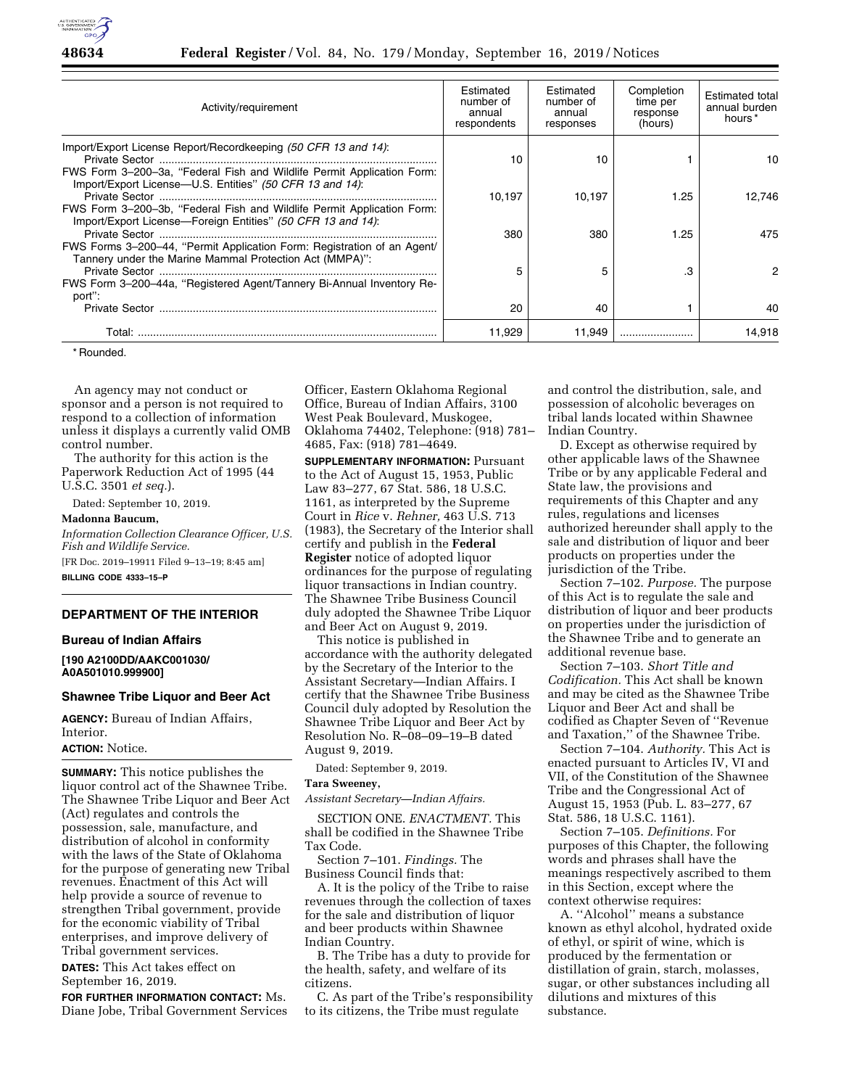

| Activity/requirement                                                                                                                  | Estimated<br>number of<br>annual<br>respondents | Estimated<br>number of<br>annual<br>responses | Completion<br>time per<br>response<br>(hours) | <b>Estimated total</b><br>annual burden<br>hours <sup>*</sup> |
|---------------------------------------------------------------------------------------------------------------------------------------|-------------------------------------------------|-----------------------------------------------|-----------------------------------------------|---------------------------------------------------------------|
| Import/Export License Report/Recordkeeping (50 CFR 13 and 14):                                                                        | 10                                              | 10                                            |                                               | 10                                                            |
| FWS Form 3-200-3a, "Federal Fish and Wildlife Permit Application Form:<br>Import/Export License-U.S. Entities" (50 CFR 13 and 14):    | 10.197                                          | 10.197                                        | 1.25                                          | 12.746                                                        |
| FWS Form 3-200-3b, "Federal Fish and Wildlife Permit Application Form:<br>Import/Export License—Foreign Entities" (50 CFR 13 and 14): |                                                 |                                               |                                               |                                                               |
| FWS Forms 3-200-44, "Permit Application Form: Registration of an Agent/                                                               | 380                                             | 380                                           | 1.25                                          | 475                                                           |
| Tannery under the Marine Mammal Protection Act (MMPA)":                                                                               | 5                                               | 5                                             |                                               | 2                                                             |
| FWS Form 3-200-44a, "Registered Agent/Tannery Bi-Annual Inventory Re-<br>port":                                                       |                                                 |                                               |                                               |                                                               |
|                                                                                                                                       | 20                                              | 40                                            |                                               | 40                                                            |
| Total:                                                                                                                                | 11,929                                          | 11.949                                        |                                               | 14.918                                                        |

\* Rounded.

An agency may not conduct or sponsor and a person is not required to respond to a collection of information unless it displays a currently valid OMB control number.

The authority for this action is the Paperwork Reduction Act of 1995 (44 U.S.C. 3501 *et seq.*).

Dated: September 10, 2019.

## **Madonna Baucum,**

*Information Collection Clearance Officer, U.S. Fish and Wildlife Service.*  [FR Doc. 2019–19911 Filed 9–13–19; 8:45 am]

**BILLING CODE 4333–15–P** 

### **DEPARTMENT OF THE INTERIOR**

## **Bureau of Indian Affairs**

**[190 A2100DD/AAKC001030/ A0A501010.999900]** 

### **Shawnee Tribe Liquor and Beer Act**

**AGENCY:** Bureau of Indian Affairs, Interior.

### **ACTION:** Notice.

**SUMMARY:** This notice publishes the liquor control act of the Shawnee Tribe. The Shawnee Tribe Liquor and Beer Act (Act) regulates and controls the possession, sale, manufacture, and distribution of alcohol in conformity with the laws of the State of Oklahoma for the purpose of generating new Tribal revenues. Enactment of this Act will help provide a source of revenue to strengthen Tribal government, provide for the economic viability of Tribal enterprises, and improve delivery of Tribal government services.

**DATES:** This Act takes effect on September 16, 2019.

**FOR FURTHER INFORMATION CONTACT:** Ms. Diane Jobe, Tribal Government Services Officer, Eastern Oklahoma Regional Office, Bureau of Indian Affairs, 3100 West Peak Boulevard, Muskogee, Oklahoma 74402, Telephone: (918) 781– 4685, Fax: (918) 781–4649.

**SUPPLEMENTARY INFORMATION: Pursuant** to the Act of August 15, 1953, Public Law 83–277, 67 Stat. 586, 18 U.S.C. 1161, as interpreted by the Supreme Court in *Rice* v. *Rehner,* 463 U.S. 713 (1983), the Secretary of the Interior shall certify and publish in the **Federal Register** notice of adopted liquor ordinances for the purpose of regulating liquor transactions in Indian country. The Shawnee Tribe Business Council duly adopted the Shawnee Tribe Liquor and Beer Act on August 9, 2019.

This notice is published in accordance with the authority delegated by the Secretary of the Interior to the Assistant Secretary—Indian Affairs. I certify that the Shawnee Tribe Business Council duly adopted by Resolution the Shawnee Tribe Liquor and Beer Act by Resolution No. R–08–09–19–B dated August 9, 2019.

Dated: September 9, 2019.

## **Tara Sweeney,**

*Assistant Secretary—Indian Affairs.* 

SECTION ONE. *ENACTMENT.* This shall be codified in the Shawnee Tribe Tax Code.

Section 7–101. *Findings.* The Business Council finds that:

A. It is the policy of the Tribe to raise revenues through the collection of taxes for the sale and distribution of liquor and beer products within Shawnee Indian Country.

B. The Tribe has a duty to provide for the health, safety, and welfare of its citizens.

C. As part of the Tribe's responsibility to its citizens, the Tribe must regulate

and control the distribution, sale, and possession of alcoholic beverages on tribal lands located within Shawnee Indian Country.

D. Except as otherwise required by other applicable laws of the Shawnee Tribe or by any applicable Federal and State law, the provisions and requirements of this Chapter and any rules, regulations and licenses authorized hereunder shall apply to the sale and distribution of liquor and beer products on properties under the jurisdiction of the Tribe.

Section 7–102. *Purpose.* The purpose of this Act is to regulate the sale and distribution of liquor and beer products on properties under the jurisdiction of the Shawnee Tribe and to generate an additional revenue base.

Section 7–103. *Short Title and Codification.* This Act shall be known and may be cited as the Shawnee Tribe Liquor and Beer Act and shall be codified as Chapter Seven of ''Revenue and Taxation,'' of the Shawnee Tribe.

Section 7–104. *Authority.* This Act is enacted pursuant to Articles IV, VI and VII, of the Constitution of the Shawnee Tribe and the Congressional Act of August 15, 1953 (Pub. L. 83–277, 67 Stat. 586, 18 U.S.C. 1161).

Section 7–105. *Definitions.* For purposes of this Chapter, the following words and phrases shall have the meanings respectively ascribed to them in this Section, except where the context otherwise requires:

A. ''Alcohol'' means a substance known as ethyl alcohol, hydrated oxide of ethyl, or spirit of wine, which is produced by the fermentation or distillation of grain, starch, molasses, sugar, or other substances including all dilutions and mixtures of this substance.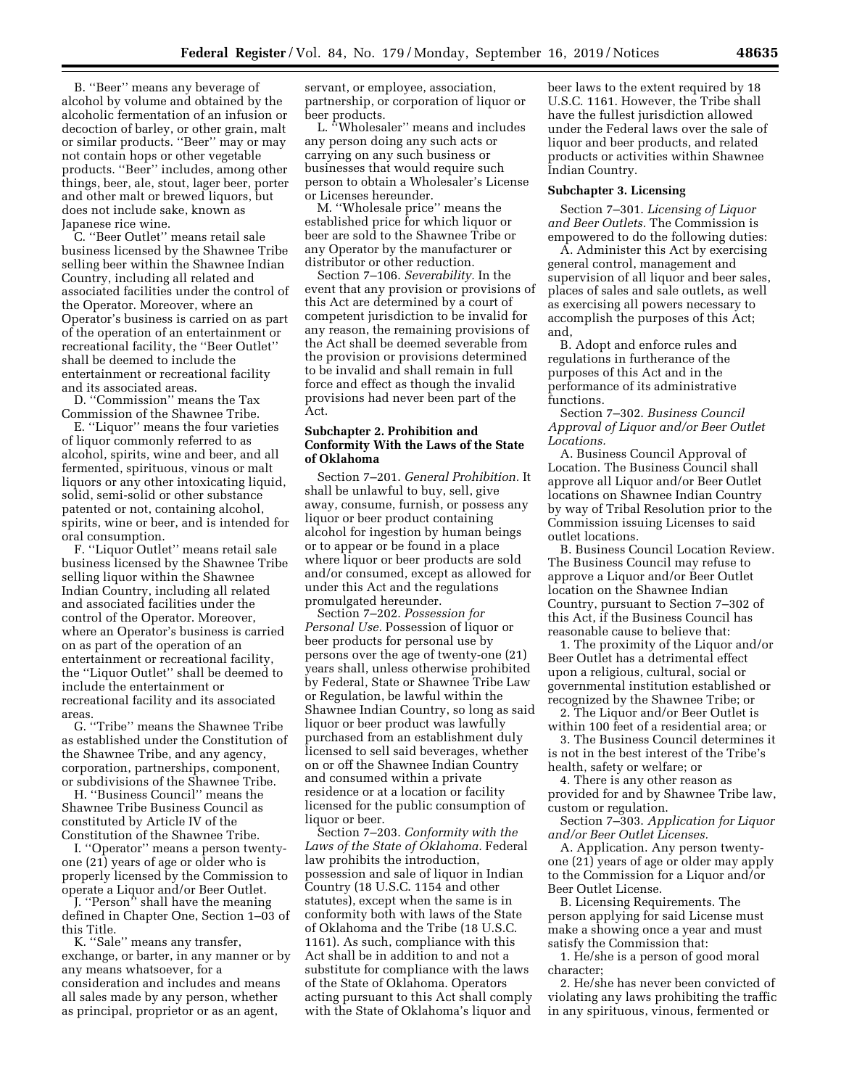B. ''Beer'' means any beverage of alcohol by volume and obtained by the alcoholic fermentation of an infusion or decoction of barley, or other grain, malt or similar products. ''Beer'' may or may not contain hops or other vegetable products. ''Beer'' includes, among other things, beer, ale, stout, lager beer, porter and other malt or brewed liquors, but does not include sake, known as Japanese rice wine.

C. ''Beer Outlet'' means retail sale business licensed by the Shawnee Tribe selling beer within the Shawnee Indian Country, including all related and associated facilities under the control of the Operator. Moreover, where an Operator's business is carried on as part of the operation of an entertainment or recreational facility, the ''Beer Outlet'' shall be deemed to include the entertainment or recreational facility and its associated areas.

D. ''Commission'' means the Tax Commission of the Shawnee Tribe.

E. ''Liquor'' means the four varieties of liquor commonly referred to as alcohol, spirits, wine and beer, and all fermented, spirituous, vinous or malt liquors or any other intoxicating liquid, solid, semi-solid or other substance patented or not, containing alcohol, spirits, wine or beer, and is intended for oral consumption.

F. ''Liquor Outlet'' means retail sale business licensed by the Shawnee Tribe selling liquor within the Shawnee Indian Country, including all related and associated facilities under the control of the Operator. Moreover, where an Operator's business is carried on as part of the operation of an entertainment or recreational facility, the ''Liquor Outlet'' shall be deemed to include the entertainment or recreational facility and its associated areas.

G. ''Tribe'' means the Shawnee Tribe as established under the Constitution of the Shawnee Tribe, and any agency, corporation, partnerships, component, or subdivisions of the Shawnee Tribe.

H. ''Business Council'' means the Shawnee Tribe Business Council as constituted by Article IV of the Constitution of the Shawnee Tribe.

I. ''Operator'' means a person twentyone (21) years of age or older who is properly licensed by the Commission to operate a Liquor and/or Beer Outlet.

J. ''Person'' shall have the meaning defined in Chapter One, Section 1–03 of this Title.

K. ''Sale'' means any transfer, exchange, or barter, in any manner or by any means whatsoever, for a consideration and includes and means all sales made by any person, whether as principal, proprietor or as an agent,

servant, or employee, association, partnership, or corporation of liquor or beer products.

L. "Wholesaler" means and includes any person doing any such acts or carrying on any such business or businesses that would require such person to obtain a Wholesaler's License or Licenses hereunder.

M. ''Wholesale price'' means the established price for which liquor or beer are sold to the Shawnee Tribe or any Operator by the manufacturer or distributor or other reduction.

Section 7–106. *Severability.* In the event that any provision or provisions of this Act are determined by a court of competent jurisdiction to be invalid for any reason, the remaining provisions of the Act shall be deemed severable from the provision or provisions determined to be invalid and shall remain in full force and effect as though the invalid provisions had never been part of the Act.

### **Subchapter 2. Prohibition and Conformity With the Laws of the State of Oklahoma**

Section 7–201. *General Prohibition.* It shall be unlawful to buy, sell, give away, consume, furnish, or possess any liquor or beer product containing alcohol for ingestion by human beings or to appear or be found in a place where liquor or beer products are sold and/or consumed, except as allowed for under this Act and the regulations promulgated hereunder.

Section 7–202. *Possession for Personal Use.* Possession of liquor or beer products for personal use by persons over the age of twenty-one (21) years shall, unless otherwise prohibited by Federal, State or Shawnee Tribe Law or Regulation, be lawful within the Shawnee Indian Country, so long as said liquor or beer product was lawfully purchased from an establishment duly licensed to sell said beverages, whether on or off the Shawnee Indian Country and consumed within a private residence or at a location or facility licensed for the public consumption of liquor or beer.

Section 7–203. *Conformity with the Laws of the State of Oklahoma.* Federal law prohibits the introduction, possession and sale of liquor in Indian Country (18 U.S.C. 1154 and other statutes), except when the same is in conformity both with laws of the State of Oklahoma and the Tribe (18 U.S.C. 1161). As such, compliance with this Act shall be in addition to and not a substitute for compliance with the laws of the State of Oklahoma. Operators acting pursuant to this Act shall comply with the State of Oklahoma's liquor and beer laws to the extent required by 18 U.S.C. 1161. However, the Tribe shall have the fullest jurisdiction allowed under the Federal laws over the sale of liquor and beer products, and related products or activities within Shawnee Indian Country.

#### **Subchapter 3. Licensing**

Section 7–301. *Licensing of Liquor and Beer Outlets.* The Commission is empowered to do the following duties:

A. Administer this Act by exercising general control, management and supervision of all liquor and beer sales, places of sales and sale outlets, as well as exercising all powers necessary to accomplish the purposes of this Act; and,

B. Adopt and enforce rules and regulations in furtherance of the purposes of this Act and in the performance of its administrative functions.

Section 7–302. *Business Council Approval of Liquor and/or Beer Outlet Locations.* 

A. Business Council Approval of Location. The Business Council shall approve all Liquor and/or Beer Outlet locations on Shawnee Indian Country by way of Tribal Resolution prior to the Commission issuing Licenses to said outlet locations.

B. Business Council Location Review. The Business Council may refuse to approve a Liquor and/or Beer Outlet location on the Shawnee Indian Country, pursuant to Section 7–302 of this Act, if the Business Council has reasonable cause to believe that:

1. The proximity of the Liquor and/or Beer Outlet has a detrimental effect upon a religious, cultural, social or governmental institution established or recognized by the Shawnee Tribe; or

2. The Liquor and/or Beer Outlet is within 100 feet of a residential area; or

3. The Business Council determines it is not in the best interest of the Tribe's health, safety or welfare; or

4. There is any other reason as provided for and by Shawnee Tribe law, custom or regulation.

Section 7–303. *Application for Liquor and/or Beer Outlet Licenses.* 

A. Application. Any person twentyone (21) years of age or older may apply to the Commission for a Liquor and/or Beer Outlet License.

B. Licensing Requirements. The person applying for said License must make a showing once a year and must satisfy the Commission that:

1. He/she is a person of good moral character;

2. He/she has never been convicted of violating any laws prohibiting the traffic in any spirituous, vinous, fermented or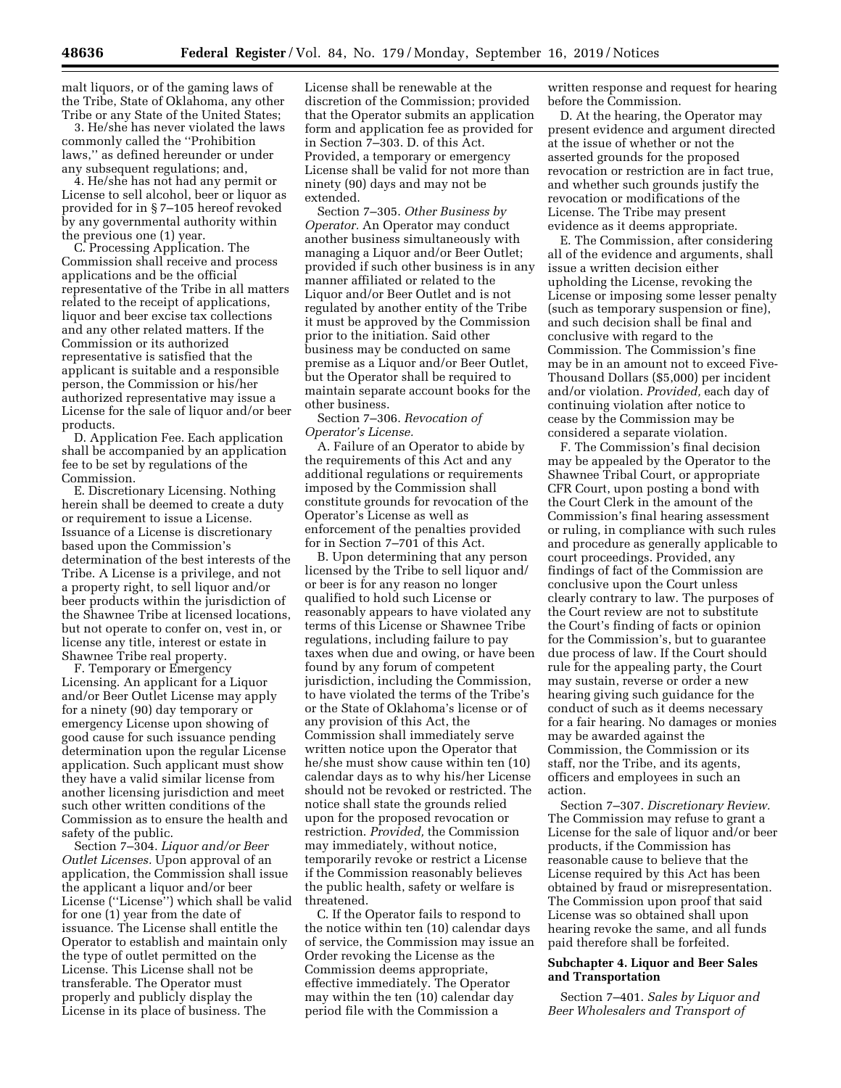malt liquors, or of the gaming laws of the Tribe, State of Oklahoma, any other Tribe or any State of the United States;

3. He/she has never violated the laws commonly called the ''Prohibition laws,'' as defined hereunder or under any subsequent regulations; and,

4. He/she has not had any permit or License to sell alcohol, beer or liquor as provided for in § 7–105 hereof revoked by any governmental authority within the previous one (1) year.

C. Processing Application. The Commission shall receive and process applications and be the official representative of the Tribe in all matters related to the receipt of applications, liquor and beer excise tax collections and any other related matters. If the Commission or its authorized representative is satisfied that the applicant is suitable and a responsible person, the Commission or his/her authorized representative may issue a License for the sale of liquor and/or beer products.

D. Application Fee. Each application shall be accompanied by an application fee to be set by regulations of the Commission.

E. Discretionary Licensing. Nothing herein shall be deemed to create a duty or requirement to issue a License. Issuance of a License is discretionary based upon the Commission's determination of the best interests of the Tribe. A License is a privilege, and not a property right, to sell liquor and/or beer products within the jurisdiction of the Shawnee Tribe at licensed locations, but not operate to confer on, vest in, or license any title, interest or estate in Shawnee Tribe real property.

F. Temporary or Emergency Licensing. An applicant for a Liquor and/or Beer Outlet License may apply for a ninety (90) day temporary or emergency License upon showing of good cause for such issuance pending determination upon the regular License application. Such applicant must show they have a valid similar license from another licensing jurisdiction and meet such other written conditions of the Commission as to ensure the health and safety of the public.

Section 7–304. *Liquor and/or Beer Outlet Licenses.* Upon approval of an application, the Commission shall issue the applicant a liquor and/or beer License (''License'') which shall be valid for one (1) year from the date of issuance. The License shall entitle the Operator to establish and maintain only the type of outlet permitted on the License. This License shall not be transferable. The Operator must properly and publicly display the License in its place of business. The

License shall be renewable at the discretion of the Commission; provided that the Operator submits an application form and application fee as provided for in Section 7–303. D. of this Act. Provided, a temporary or emergency License shall be valid for not more than ninety (90) days and may not be extended.

Section 7–305. *Other Business by Operator.* An Operator may conduct another business simultaneously with managing a Liquor and/or Beer Outlet; provided if such other business is in any manner affiliated or related to the Liquor and/or Beer Outlet and is not regulated by another entity of the Tribe it must be approved by the Commission prior to the initiation. Said other business may be conducted on same premise as a Liquor and/or Beer Outlet, but the Operator shall be required to maintain separate account books for the other business.

Section 7–306. *Revocation of Operator's License.* 

A. Failure of an Operator to abide by the requirements of this Act and any additional regulations or requirements imposed by the Commission shall constitute grounds for revocation of the Operator's License as well as enforcement of the penalties provided for in Section 7–701 of this Act.

B. Upon determining that any person licensed by the Tribe to sell liquor and/ or beer is for any reason no longer qualified to hold such License or reasonably appears to have violated any terms of this License or Shawnee Tribe regulations, including failure to pay taxes when due and owing, or have been found by any forum of competent jurisdiction, including the Commission, to have violated the terms of the Tribe's or the State of Oklahoma's license or of any provision of this Act, the Commission shall immediately serve written notice upon the Operator that he/she must show cause within ten (10) calendar days as to why his/her License should not be revoked or restricted. The notice shall state the grounds relied upon for the proposed revocation or restriction. *Provided,* the Commission may immediately, without notice, temporarily revoke or restrict a License if the Commission reasonably believes the public health, safety or welfare is threatened.

C. If the Operator fails to respond to the notice within ten (10) calendar days of service, the Commission may issue an Order revoking the License as the Commission deems appropriate, effective immediately. The Operator may within the ten (10) calendar day period file with the Commission a

written response and request for hearing before the Commission.

D. At the hearing, the Operator may present evidence and argument directed at the issue of whether or not the asserted grounds for the proposed revocation or restriction are in fact true, and whether such grounds justify the revocation or modifications of the License. The Tribe may present evidence as it deems appropriate.

E. The Commission, after considering all of the evidence and arguments, shall issue a written decision either upholding the License, revoking the License or imposing some lesser penalty (such as temporary suspension or fine), and such decision shall be final and conclusive with regard to the Commission. The Commission's fine may be in an amount not to exceed Five-Thousand Dollars (\$5,000) per incident and/or violation. *Provided,* each day of continuing violation after notice to cease by the Commission may be considered a separate violation.

F. The Commission's final decision may be appealed by the Operator to the Shawnee Tribal Court, or appropriate CFR Court, upon posting a bond with the Court Clerk in the amount of the Commission's final hearing assessment or ruling, in compliance with such rules and procedure as generally applicable to court proceedings. Provided, any findings of fact of the Commission are conclusive upon the Court unless clearly contrary to law. The purposes of the Court review are not to substitute the Court's finding of facts or opinion for the Commission's, but to guarantee due process of law. If the Court should rule for the appealing party, the Court may sustain, reverse or order a new hearing giving such guidance for the conduct of such as it deems necessary for a fair hearing. No damages or monies may be awarded against the Commission, the Commission or its staff, nor the Tribe, and its agents, officers and employees in such an action.

Section 7–307. *Discretionary Review.*  The Commission may refuse to grant a License for the sale of liquor and/or beer products, if the Commission has reasonable cause to believe that the License required by this Act has been obtained by fraud or misrepresentation. The Commission upon proof that said License was so obtained shall upon hearing revoke the same, and all funds paid therefore shall be forfeited.

#### **Subchapter 4. Liquor and Beer Sales and Transportation**

Section 7–401. *Sales by Liquor and Beer Wholesalers and Transport of*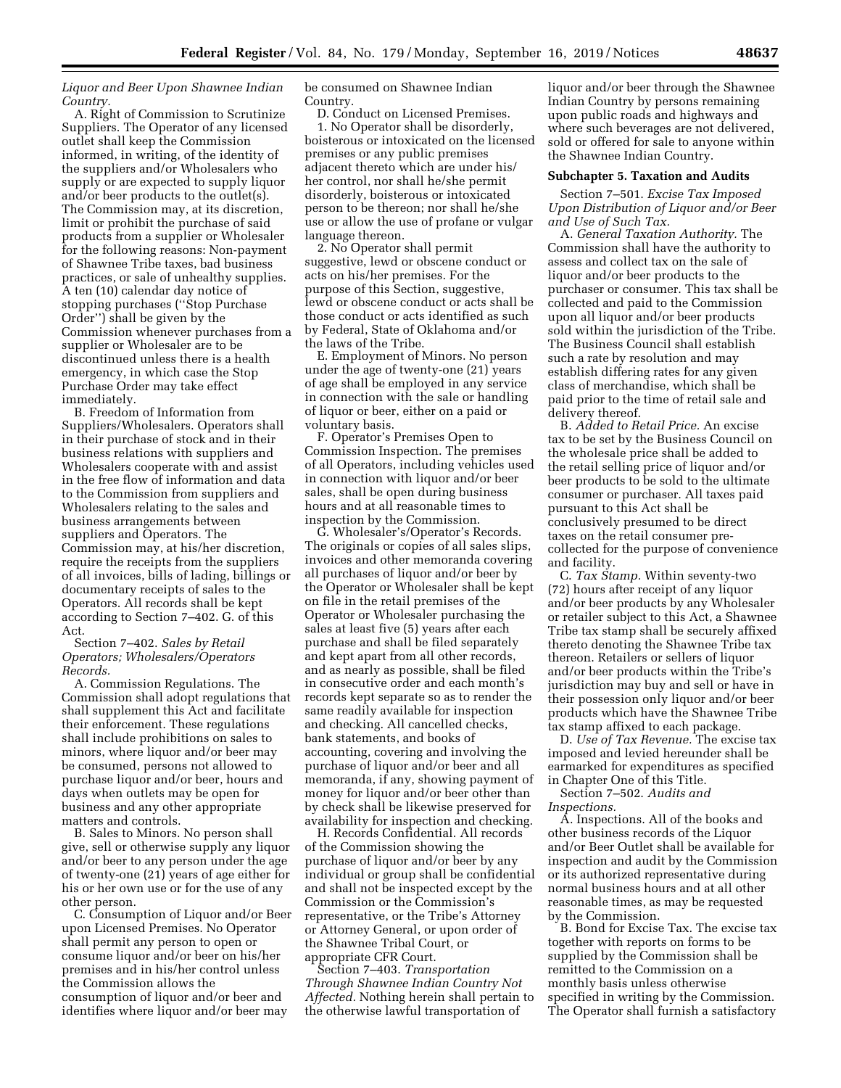*Liquor and Beer Upon Shawnee Indian Country.* 

A. Right of Commission to Scrutinize Suppliers. The Operator of any licensed outlet shall keep the Commission informed, in writing, of the identity of the suppliers and/or Wholesalers who supply or are expected to supply liquor and/or beer products to the outlet(s). The Commission may, at its discretion, limit or prohibit the purchase of said products from a supplier or Wholesaler for the following reasons: Non-payment of Shawnee Tribe taxes, bad business practices, or sale of unhealthy supplies. A ten (10) calendar day notice of stopping purchases (''Stop Purchase Order'') shall be given by the Commission whenever purchases from a supplier or Wholesaler are to be discontinued unless there is a health emergency, in which case the Stop Purchase Order may take effect immediately.

B. Freedom of Information from Suppliers/Wholesalers. Operators shall in their purchase of stock and in their business relations with suppliers and Wholesalers cooperate with and assist in the free flow of information and data to the Commission from suppliers and Wholesalers relating to the sales and business arrangements between suppliers and Operators. The Commission may, at his/her discretion, require the receipts from the suppliers of all invoices, bills of lading, billings or documentary receipts of sales to the Operators. All records shall be kept according to Section 7–402. G. of this Act.

Section 7–402. *Sales by Retail Operators; Wholesalers/Operators Records.* 

A. Commission Regulations. The Commission shall adopt regulations that shall supplement this Act and facilitate their enforcement. These regulations shall include prohibitions on sales to minors, where liquor and/or beer may be consumed, persons not allowed to purchase liquor and/or beer, hours and days when outlets may be open for business and any other appropriate matters and controls.

B. Sales to Minors. No person shall give, sell or otherwise supply any liquor and/or beer to any person under the age of twenty-one (21) years of age either for his or her own use or for the use of any other person.

C. Consumption of Liquor and/or Beer upon Licensed Premises. No Operator shall permit any person to open or consume liquor and/or beer on his/her premises and in his/her control unless the Commission allows the consumption of liquor and/or beer and identifies where liquor and/or beer may

be consumed on Shawnee Indian Country.

D. Conduct on Licensed Premises. 1. No Operator shall be disorderly, boisterous or intoxicated on the licensed premises or any public premises adjacent thereto which are under his/ her control, nor shall he/she permit disorderly, boisterous or intoxicated person to be thereon; nor shall he/she use or allow the use of profane or vulgar language thereon.

2. No Operator shall permit suggestive, lewd or obscene conduct or acts on his/her premises. For the purpose of this Section, suggestive, lewd or obscene conduct or acts shall be those conduct or acts identified as such by Federal, State of Oklahoma and/or the laws of the Tribe.

E. Employment of Minors. No person under the age of twenty-one (21) years of age shall be employed in any service in connection with the sale or handling of liquor or beer, either on a paid or voluntary basis.

F. Operator's Premises Open to Commission Inspection. The premises of all Operators, including vehicles used in connection with liquor and/or beer sales, shall be open during business hours and at all reasonable times to inspection by the Commission.

G. Wholesaler's/Operator's Records. The originals or copies of all sales slips, invoices and other memoranda covering all purchases of liquor and/or beer by the Operator or Wholesaler shall be kept on file in the retail premises of the Operator or Wholesaler purchasing the sales at least five (5) years after each purchase and shall be filed separately and kept apart from all other records, and as nearly as possible, shall be filed in consecutive order and each month's records kept separate so as to render the same readily available for inspection and checking. All cancelled checks, bank statements, and books of accounting, covering and involving the purchase of liquor and/or beer and all memoranda, if any, showing payment of money for liquor and/or beer other than by check shall be likewise preserved for availability for inspection and checking.

H. Records Confidential. All records of the Commission showing the purchase of liquor and/or beer by any individual or group shall be confidential and shall not be inspected except by the Commission or the Commission's representative, or the Tribe's Attorney or Attorney General, or upon order of the Shawnee Tribal Court, or appropriate CFR Court.

Section 7–403. *Transportation Through Shawnee Indian Country Not Affected.* Nothing herein shall pertain to the otherwise lawful transportation of

liquor and/or beer through the Shawnee Indian Country by persons remaining upon public roads and highways and where such beverages are not delivered, sold or offered for sale to anyone within the Shawnee Indian Country.

#### **Subchapter 5. Taxation and Audits**

Section 7–501. *Excise Tax Imposed Upon Distribution of Liquor and/or Beer and Use of Such Tax.* 

A. *General Taxation Authority.* The Commission shall have the authority to assess and collect tax on the sale of liquor and/or beer products to the purchaser or consumer. This tax shall be collected and paid to the Commission upon all liquor and/or beer products sold within the jurisdiction of the Tribe. The Business Council shall establish such a rate by resolution and may establish differing rates for any given class of merchandise, which shall be paid prior to the time of retail sale and delivery thereof.

B. *Added to Retail Price.* An excise tax to be set by the Business Council on the wholesale price shall be added to the retail selling price of liquor and/or beer products to be sold to the ultimate consumer or purchaser. All taxes paid pursuant to this Act shall be conclusively presumed to be direct taxes on the retail consumer precollected for the purpose of convenience and facility.

C. *Tax Stamp.* Within seventy-two (72) hours after receipt of any liquor and/or beer products by any Wholesaler or retailer subject to this Act, a Shawnee Tribe tax stamp shall be securely affixed thereto denoting the Shawnee Tribe tax thereon. Retailers or sellers of liquor and/or beer products within the Tribe's jurisdiction may buy and sell or have in their possession only liquor and/or beer products which have the Shawnee Tribe tax stamp affixed to each package.

D. *Use of Tax Revenue.* The excise tax imposed and levied hereunder shall be earmarked for expenditures as specified in Chapter One of this Title.

Section 7–502. *Audits and Inspections.* 

A. Inspections. All of the books and other business records of the Liquor and/or Beer Outlet shall be available for inspection and audit by the Commission or its authorized representative during normal business hours and at all other reasonable times, as may be requested by the Commission.

B. Bond for Excise Tax. The excise tax together with reports on forms to be supplied by the Commission shall be remitted to the Commission on a monthly basis unless otherwise specified in writing by the Commission. The Operator shall furnish a satisfactory